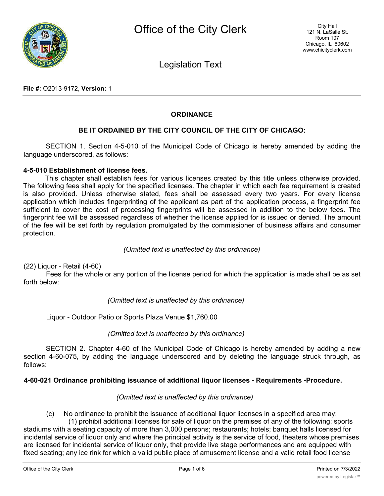

Legislation Text

**File #:** O2013-9172, **Version:** 1

## **ORDINANCE**

# **BE IT ORDAINED BY THE CITY COUNCIL OF THE CITY OF CHICAGO:**

SECTION 1. Section 4-5-010 of the Municipal Code of Chicago is hereby amended by adding the language underscored, as follows:

#### **4-5-010 Establishment of license fees.**

This chapter shall establish fees for various licenses created by this title unless otherwise provided. The following fees shall apply for the specified licenses. The chapter in which each fee requirement is created is also provided. Unless otherwise stated, fees shall be assessed every two years. For every license application which includes fingerprinting of the applicant as part of the application process, a fingerprint fee sufficient to cover the cost of processing fingerprints will be assessed in addition to the below fees. The fingerprint fee will be assessed regardless of whether the license applied for is issued or denied. The amount of the fee will be set forth by regulation promulgated by the commissioner of business affairs and consumer protection.

### *(Omitted text is unaffected by this ordinance)*

(22) Liquor - Retail (4-60)

Fees for the whole or any portion of the license period for which the application is made shall be as set forth below:

*(Omitted text is unaffected by this ordinance)*

Liquor - Outdoor Patio or Sports Plaza Venue \$1,760.00

## *(Omitted text is unaffected by this ordinance)*

SECTION 2. Chapter 4-60 of the Municipal Code of Chicago is hereby amended by adding a new section 4-60-075, by adding the language underscored and by deleting the language struck through, as follows:

## **4-60-021 Ordinance prohibiting issuance of additional liquor licenses - Requirements -Procedure.**

## *(Omitted text is unaffected by this ordinance)*

(c) No ordinance to prohibit the issuance of additional liquor licenses in a specified area may: (1) prohibit additional licenses for sale of liquor on the premises of any of the following: sports

stadiums with a seating capacity of more than 3,000 persons; restaurants; hotels; banquet halls licensed for incidental service of liquor only and where the principal activity is the service of food, theaters whose premises are licensed for incidental service of liquor only, that provide live stage performances and are equipped with fixed seating; any ice rink for which a valid public place of amusement license and a valid retail food license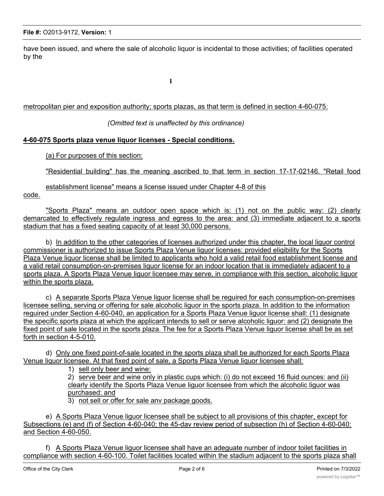have been issued, and where the sale of alcoholic liquor is incidental to those activities; of facilities operated by the

**1**

### metropolitan pier and exposition authority; sports plazas, as that term is defined in section 4-60-075:

## *(Omitted text is unaffected by this ordinance)*

#### **4-60-075 Sports plaza venue liquor licenses - Special conditions.**

(a) For purposes of this section:

"Residential building" has the meaning ascribed to that term in section 17-17-02146. "Retail food

establishment license" means a license issued under Chapter 4-8 of this

code.

"Sports Plaza" means an outdoor open space which is: (1) not on the public way: (2) clearly demarcated to effectively regulate ingress and egress to the area: and (3) immediate adjacent to a sports stadium that has a fixed seating capacity of at least 30,000 persons.

b) In addition to the other categories of licenses authorized under this chapter, the local liguor control commissioner is authorized to issue Sports Plaza Venue liguor licenses: provided eligibility for the Sports Plaza Venue liquor license shall be limited to applicants who hold a valid retail food establishment license and a valid retail consumption-on-premises liguor license for an indoor location that is immediately adjacent to a sports plaza. A Sports Plaza Venue liguor licensee may serve, in compliance with this section, alcoholic liguor within the sports plaza.

c) A separate Sports Plaza Venue liguor license shall be reguired for each consumption-on-premises licensee selling, serving or offering for sale alcoholic liguor in the sports plaza. In addition to the information reguired under Section 4-60-040, an application for a Sports Plaza Venue liguor license shall: (1) designate the specific sports plaza at which the applicant intends to sell or serve alcoholic liguor: and (2) designate the fixed point of sale located in the sports plaza. The fee for a Sports Plaza Venue liguor license shall be as set forth in section 4-5-010.

d) Only one fixed point-of-sale located in the sports plaza shall be authorized for each Sports Plaza Venue liquor licensee. At that fixed point of sale, a Sports Plaza Venue liquor licensee shall:

1) sell only beer and wine:

2) serve beer and wine only in plastic cups which: (i) do not exceed 16 fluid ounces: and (ii) clearly identify the Sports Plaza Venue liguor licensee from which the alcoholic liguor was purchased: and

3) not sell or offer for sale anv package goods.

e) A Sports Plaza Venue liguor licensee shall be subject to all provisions of this chapter, except for Subsections (e) and (f) of Section 4-60-040; the 45-dav review period of subsection (h) of Section 4-60-040: and Section 4-60-050.

f) A Sports Plaza Venue liguor licensee shall have an adeguate number of indoor toilet facilities in compliance with section 4-60-100. Toilet facilities located within the stadium adjacent to the sports plaza shall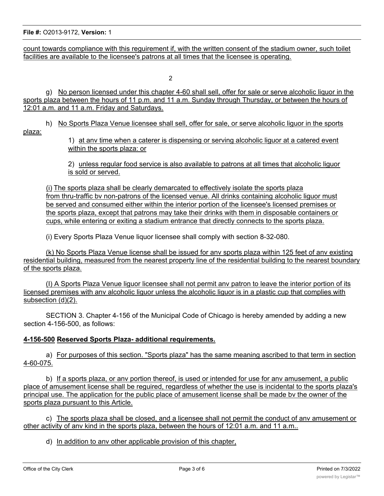count towards compliance with this reguirement if, with the written consent of the stadium owner, such toilet facilities are available to the licensee's patrons at all times that the licensee is operating.

 $\mathfrak{p}$ 

g) No person licensed under this chapter 4-60 shall sell, offer for sale or serve alcoholic liquor in the sports plaza between the hours of 11 p.m. and 11 a.m. Sunday through Thursday, or between the hours of 12:01 a.m. and 11 a.m. Friday and Saturdays.

# h) No Sports Plaza Venue licensee shall sell, offer for sale, or serve alcoholic liguor in the sports

plaza:

1) at anv time when a caterer is dispensing or serving alcoholic liguor at a catered event within the sports plaza: or

2) unless regular food service is also available to patrons at all times that alcoholic liguor is sold or served.

(i) The sports plaza shall be clearly demarcated to effectively isolate the sports plaza from thru-traffic bv non-patrons of the licensed venue. All drinks containing alcoholic liguor must be served and consumed either within the interior portion of the licensee's licensed premises or the sports plaza, except that patrons may take their drinks with them in disposable containers or cups, while entering or exiting a stadium entrance that directly connects to the sports plaza.

(i) Every Sports Plaza Venue liquor licensee shall comply with section 8-32-080.

(k) No Sports Plaza Venue license shall be issued for anv sports plaza within 125 feet of anv existing residential building, measured from the nearest property line of the residential building to the nearest boundary of the sports plaza.

(I) A Sports Plaza Venue liguor licensee shall not permit anv patron to leave the interior portion of its licensed premises with anv alcoholic liguor unless the alcoholic liguor is in a plastic cup that complies with subsection (d)(2).

SECTION 3. Chapter 4-156 of the Municipal Code of Chicago is hereby amended by adding a new section 4-156-500, as follows:

# **4-156-500 Reserved Sports Plaza- additional requirements.**

a) For purposes of this section. "Sports plaza" has the same meaning ascribed to that term in section 4-60-075.

b) If a sports plaza, or anv portion thereof, is used or intended for use for anv amusement, a public place of amusement license shall be reguired, regardless of whether the use is incidental to the sports plaza's principal use. The application for the public place of amusement license shall be made bv the owner of the sports plaza pursuant to this Article.

c) The sports plaza shall be closed, and a licensee shall not permit the conduct of anv amusement or other activity of any kind in the sports plaza, between the hours of 12:01 a.m. and 11 a.m..

d) In addition to anv other applicable provision of this chapter,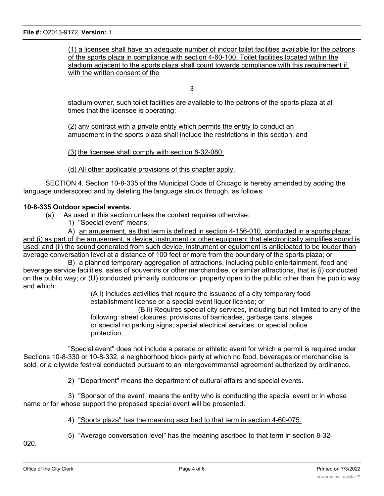(1) a licensee shall have an adequate number of indoor toilet facilities available for the patrons of the sports plaza in compliance with section 4-60-100. Toilet facilities located within the stadium adjacent to the sports plaza shall count towards compliance with this requirement if, with the written consent of the

3

stadium owner, such toilet facilities are available to the patrons of the sports plaza at all times that the licensee is operating;

(2) anv contract with a private entity which permits the entity to conduct an amusement in the sports plaza shall include the restrictions in this section; and

(3) the licensee shall comply with section 8-32-080.

(d) All other applicable provisions of this chapter apply.

SECTION 4. Section 10-8-335 of the Municipal Code of Chicago is hereby amended by adding the language underscored and by deleting the language struck through, as follows:

## **10-8-335 Outdoor special events.**

(a) As used in this section unless the context requires otherwise:

1) "Special event" means;

A) an amusement, as that term is defined in section 4-156-010, conducted in a sports plaza: and (i) as part of the amusement, a device, instrument or other equipment that electronically amplifies sound is used; and (ii) the sound generated from such device, instrument or eguipment is anticipated to be louder than average conversation level at a distance of 100 feet or more from the boundary of the sports plaza; or

B) a planned temporary aggregation of attractions, including public entertainment, food and beverage service facilities, sales of souvenirs or other merchandise, or similar attractions, that is {i) conducted on the public way; or (U) conducted primarily outdoors on property open to the public other than the public way and which:

> (A i) Includes activities that require the issuance of a city temporary food establishment license or a special event liquor license; or

(B ii) Requires special city services, including but not limited to any of the following: street closures; provisions of barricades, garbage cans, stages or special no parking signs; special electrical services; or special police protection.

"Special event" does not include a parade or athletic event for which a permit is required under Sections 10-8-330 or 10-8-332, a neighborhood block party at which no food, beverages or merchandise is sold, or a citywide festival conducted pursuant to an intergovernmental agreement authorized by ordinance.

2) "Department" means the department of cultural affairs and special events.

3) "Sponsor of the event" means the entity who is conducting the special event or in whose name or for whose support the proposed special event will be presented.

4) "Sports plaza" has the meaning ascribed to that term in section 4-60-075.

5) "Average conversation level" has the meaning ascribed to that term in section 8-32-

020.